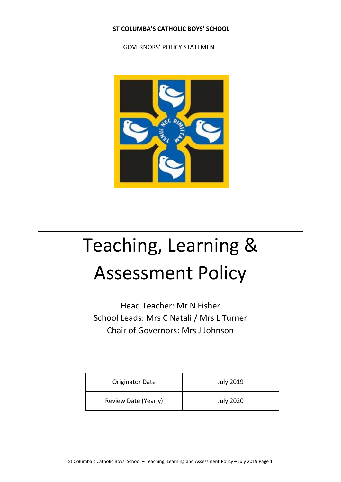## **ST COLUMBA'S CATHOLIC BOYS' SCHOOL**

GOVERNORS' POLICY STATEMENT



# Teaching, Learning & Assessment Policy

Head Teacher: Mr N Fisher School Leads: Mrs C Natali / Mrs L Turner Chair of Governors: Mrs J Johnson

| Originator Date      | <b>July 2019</b> |
|----------------------|------------------|
| Review Date (Yearly) | <b>July 2020</b> |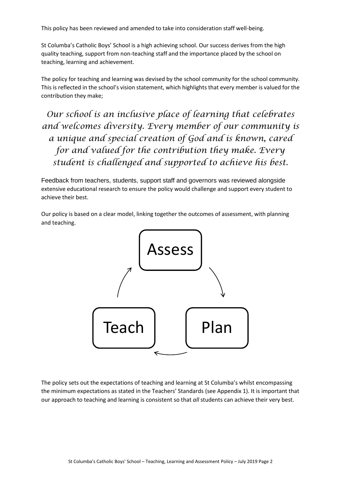This policy has been reviewed and amended to take into consideration staff well-being.

St Columba's Catholic Boys' School is a high achieving school. Our success derives from the high quality teaching, support from non-teaching staff and the importance placed by the school on teaching, learning and achievement.

The policy for teaching and learning was devised by the school community for the school community. This is reflected in the school's vision statement, which highlights that every member is valued for the contribution they make;

*Our school is an inclusive place of learning that celebrates and welcomes diversity. Every member of our community is a unique and special creation of God and is known, cared for and valued for the contribution they make. Every student is challenged and supported to achieve his best.*

Feedback from teachers, students, support staff and governors was reviewed alongside extensive educational research to ensure the policy would challenge and support every student to achieve their best.

Our policy is based on a clear model, linking together the outcomes of assessment, with planning and teaching.



The policy sets out the expectations of teaching and learning at St Columba's whilst encompassing the minimum expectations as stated in the Teachers' Standards (see Appendix 1). It is important that our approach to teaching and learning is consistent so that *all* students can achieve their very best.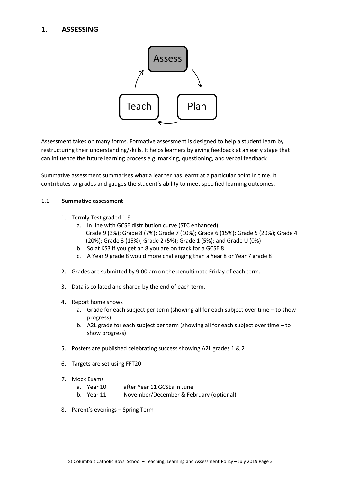## **1. ASSESSING**



Assessment takes on many forms. Formative assessment is designed to help a student learn by restructuring their understanding/skills. It helps learners by giving feedback at an early stage that can influence the future learning process e.g. marking, questioning, and verbal feedback

Summative assessment summarises what a learner has learnt at a particular point in time. It contributes to grades and gauges the student's ability to meet specified learning outcomes.

#### 1.1 **Summative assessment**

- 1. Termly Test graded 1-9
	- a. In line with GCSE distribution curve (STC enhanced) Grade 9 (3%); Grade 8 (7%); Grade 7 (10%); Grade 6 (15%); Grade 5 (20%); Grade 4 (20%); Grade 3 (15%); Grade 2 (5%); Grade 1 (5%); and Grade U (0%)
	- b. So at KS3 if you get an 8 you are on track for a GCSE 8
	- c. A Year 9 grade 8 would more challenging than a Year 8 or Year 7 grade 8
- 2. Grades are submitted by 9:00 am on the penultimate Friday of each term.
- 3. Data is collated and shared by the end of each term.
- 4. Report home shows
	- a. Grade for each subject per term (showing all for each subject over time to show progress)
	- b. A2L grade for each subject per term (showing all for each subject over time to show progress)
- 5. Posters are published celebrating success showing A2L grades 1 & 2
- 6. Targets are set using FFT20
- 7. Mock Exams
	- a. Year 10 after Year 11 GCSEs in June
	- b. Year 11 November/December & February (optional)
- 8. Parent's evenings Spring Term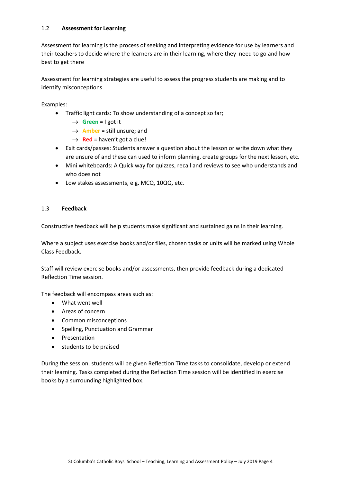#### 1.2 **Assessment for Learning**

Assessment for learning is the process of seeking and interpreting evidence for use by learners and their teachers to decide where the learners are in their learning, where they need to go and how best to get there

Assessment for learning strategies are useful to assess the progress students are making and to identify misconceptions.

Examples:

- Traffic light cards: To show understanding of a concept so far;
	- $\rightarrow$  **Green** = I got it
	- $\rightarrow$  **Amber** = still unsure; and
	- $\rightarrow$  **Red** = haven't got a clue!
- Exit cards/passes: Students answer a question about the lesson or write down what they are unsure of and these can used to inform planning, create groups for the next lesson, etc.
- Mini whiteboards: A Quick way for quizzes, recall and reviews to see who understands and who does not
- Low stakes assessments, e.g. MCQ, 10QQ, etc.

#### 1.3 **Feedback**

Constructive feedback will help students make significant and sustained gains in their learning.

Where a subject uses exercise books and/or files, chosen tasks or units will be marked using Whole Class Feedback.

Staff will review exercise books and/or assessments, then provide feedback during a dedicated Reflection Time session.

The feedback will encompass areas such as:

- What went well
- Areas of concern
- Common misconceptions
- Spelling, Punctuation and Grammar
- Presentation
- students to be praised

During the session, students will be given Reflection Time tasks to consolidate, develop or extend their learning. Tasks completed during the Reflection Time session will be identified in exercise books by a surrounding highlighted box.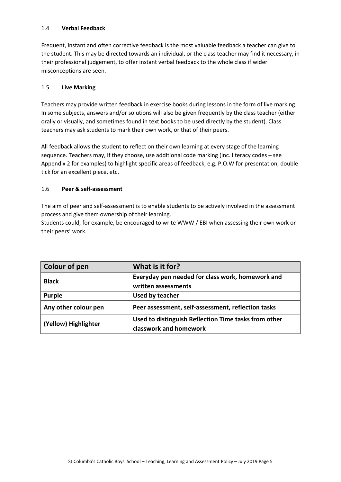#### 1.4 **Verbal Feedback**

Frequent, instant and often corrective feedback is the most valuable feedback a teacher can give to the student. This may be directed towards an individual, or the class teacher may find it necessary, in their professional judgement, to offer instant verbal feedback to the whole class if wider misconceptions are seen.

#### 1.5 **Live Marking**

Teachers may provide written feedback in exercise books during lessons in the form of live marking. In some subjects, answers and/or solutions will also be given frequently by the class teacher (either orally or visually, and sometimes found in text books to be used directly by the student). Class teachers may ask students to mark their own work, or that of their peers.

All feedback allows the student to reflect on their own learning at every stage of the learning sequence. Teachers may, if they choose, use additional code marking (inc. literacy codes – see Appendix 2 for examples) to highlight specific areas of feedback, e.g. P.O.W for presentation, double tick for an excellent piece, etc.

#### 1.6 **Peer & self-assessment**

The aim of peer and self-assessment is to enable students to be actively involved in the assessment process and give them ownership of their learning.

Students could, for example, be encouraged to write WWW / EBI when assessing their own work or their peers' work.

| Colour of pen        | What is it for?                                                                |
|----------------------|--------------------------------------------------------------------------------|
| <b>Black</b>         | Everyday pen needed for class work, homework and<br>written assessments        |
| Purple               | Used by teacher                                                                |
| Any other colour pen | Peer assessment, self-assessment, reflection tasks                             |
| (Yellow) Highlighter | Used to distinguish Reflection Time tasks from other<br>classwork and homework |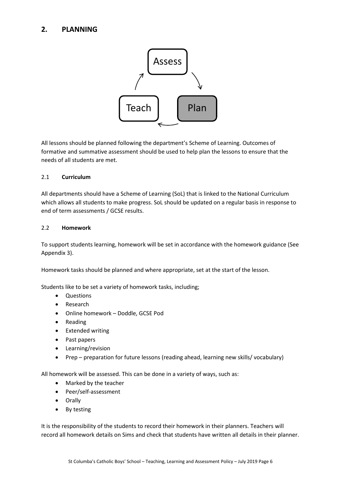# **2. PLANNING**



All lessons should be planned following the department's Scheme of Learning. Outcomes of formative and summative assessment should be used to help plan the lessons to ensure that the needs of all students are met.

#### 2.1 **Curriculum**

All departments should have a Scheme of Learning (SoL) that is linked to the National Curriculum which allows all students to make progress. SoL should be updated on a regular basis in response to end of term assessments / GCSE results.

#### 2.2 **Homework**

To support students learning, homework will be set in accordance with the homework guidance (See Appendix 3).

Homework tasks should be planned and where appropriate, set at the start of the lesson.

Students like to be set a variety of homework tasks, including;

- Questions
- Research
- Online homework Doddle, GCSE Pod
- Reading
- Extended writing
- Past papers
- Learning/revision
- Prep preparation for future lessons (reading ahead, learning new skills/ vocabulary)

All homework will be assessed. This can be done in a variety of ways, such as:

- Marked by the teacher
- Peer/self-assessment
- Orally
- By testing

It is the responsibility of the students to record their homework in their planners. Teachers will record all homework details on Sims and check that students have written all details in their planner.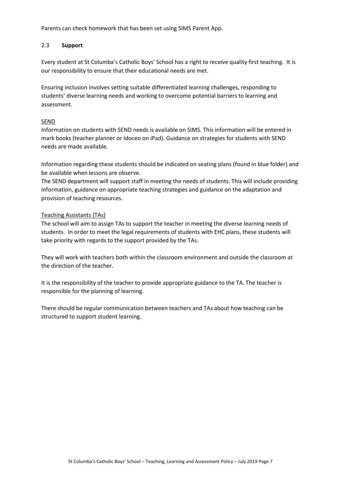Parents can check homework that has been set using SIMS Parent App.

#### 2.3 **Support**

Every student at St Columba's Catholic Boys' School has a right to receive quality first teaching. It is our responsibility to ensure that their educational needs are met.

Ensuring inclusion involves setting suitable differentiated learning challenges, responding to students' diverse learning needs and working to overcome potential barriers to learning and assessment.

#### SEND

Information on students with SEND needs is available on SIMS. This information will be entered in mark books (teacher planner or Idoceo on iPad). Guidance on strategies for students with SEND needs are made available.

Information regarding these students should be indicated on seating plans (found in blue folder) and be available when lessons are observe.

The SEND department will support staff in meeting the needs of students. This will include providing information, guidance on appropriate teaching strategies and guidance on the adaptation and provision of teaching resources.

#### Teaching Assistants (TAs)

The school will aim to assign TAs to support the teacher in meeting the diverse learning needs of students. In order to meet the legal requirements of students with EHC plans, these students will take priority with regards to the support provided by the TAs.

They will work with teachers both within the classroom environment and outside the classroom at the direction of the teacher.

It is the responsibility of the teacher to provide appropriate guidance to the TA. The teacher is responsible for the planning of learning.

There should be regular communication between teachers and TAs about how teaching can be structured to support student learning.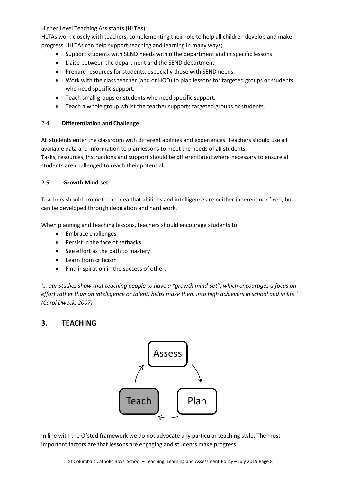#### Higher Level Teaching Assistants (HLTAs)

HLTAs work closely with teachers, complementing their role to help all children develop and make progress. HLTAs can help support teaching and learning in many ways;

- Support students with SEND needs within the department and in specific lessons
- Liaise between the department and the SEND department
- Prepare resources for students, especially those with SEND needs.
- Work with the class teacher (and or HOD) to plan lessons for targeted groups or students who need specific support.
- Teach small groups or students who need specific support.
- Teach a whole group whilst the teacher supports targeted groups or students.

#### 2.4 **Differentiation and Challenge**

All students enter the classroom with different abilities and experiences. Teachers should use all available data and information to plan lessons to meet the needs of all students.

Tasks, resources, instructions and support should be differentiated where necessary to ensure all students are challenged to reach their potential.

#### 2.5 **Growth Mind-set**

Teachers should promote the idea that abilities and intelligence are neither inherent nor fixed, but can be developed through dedication and hard work.

When planning and teaching lessons, teachers should encourage students to;

- Embrace challenges
- Persist in the face of setbacks
- See effort as the path to mastery
- Learn from criticism
- Find inspiration in the success of others

*'… our studies show that teaching people to have a "growth mind-set", which encourages a focus on effort rather than on intelligence or talent, helps make them into high achievers in school and in life.' (Carol Dweck, 2007)* 

# **3. TEACHING**



In line with the Ofsted framework we do not advocate any particular teaching style. The most important factors are that lessons are engaging and students make progress.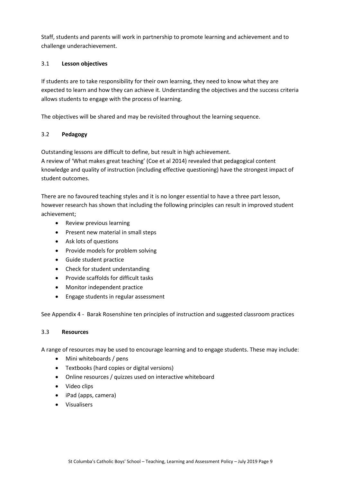Staff, students and parents will work in partnership to promote learning and achievement and to challenge underachievement.

#### 3.1 **Lesson objectives**

If students are to take responsibility for their own learning, they need to know what they are expected to learn and how they can achieve it. Understanding the objectives and the success criteria allows students to engage with the process of learning.

The objectives will be shared and may be revisited throughout the learning sequence.

#### 3.2 **Pedagogy**

Outstanding lessons are difficult to define, but result in high achievement.

A review of 'What makes great teaching' (Coe et al 2014) revealed that pedagogical content knowledge and quality of instruction (including effective questioning) have the strongest impact of student outcomes.

There are no favoured teaching styles and it is no longer essential to have a three part lesson, however research has shown that including the following principles can result in improved student achievement;

- Review previous learning
- Present new material in small steps
- Ask lots of questions
- Provide models for problem solving
- Guide student practice
- Check for student understanding
- Provide scaffolds for difficult tasks
- Monitor independent practice
- Engage students in regular assessment

See Appendix 4 - Barak Rosenshine ten principles of instruction and suggested classroom practices

#### 3.3 **Resources**

A range of resources may be used to encourage learning and to engage students. These may include:

- Mini whiteboards / pens
- Textbooks (hard copies or digital versions)
- Online resources / quizzes used on interactive whiteboard
- Video clips
- iPad (apps, camera)
- Visualisers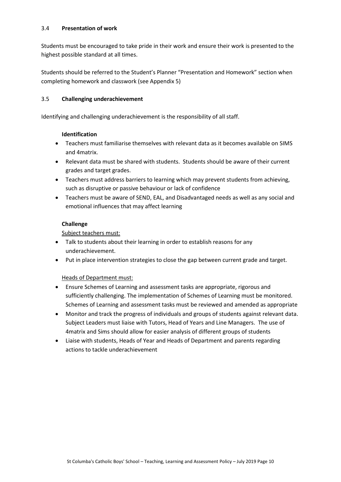#### 3.4 **Presentation of work**

Students must be encouraged to take pride in their work and ensure their work is presented to the highest possible standard at all times.

Students should be referred to the Student's Planner "Presentation and Homework" section when completing homework and classwork (see Appendix 5)

#### 3.5 **Challenging underachievement**

Identifying and challenging underachievement is the responsibility of all staff.

#### **Identification**

- Teachers must familiarise themselves with relevant data as it becomes available on SIMS and 4matrix.
- Relevant data must be shared with students. Students should be aware of their current grades and target grades.
- Teachers must address barriers to learning which may prevent students from achieving, such as disruptive or passive behaviour or lack of confidence
- Teachers must be aware of SEND, EAL, and Disadvantaged needs as well as any social and emotional influences that may affect learning

#### **Challenge**

Subject teachers must:

- Talk to students about their learning in order to establish reasons for any underachievement.
- Put in place intervention strategies to close the gap between current grade and target.

#### Heads of Department must:

- Ensure Schemes of Learning and assessment tasks are appropriate, rigorous and sufficiently challenging. The implementation of Schemes of Learning must be monitored. Schemes of Learning and assessment tasks must be reviewed and amended as appropriate
- Monitor and track the progress of individuals and groups of students against relevant data. Subject Leaders must liaise with Tutors, Head of Years and Line Managers. The use of 4matrix and Sims should allow for easier analysis of different groups of students
- Liaise with students, Heads of Year and Heads of Department and parents regarding actions to tackle underachievement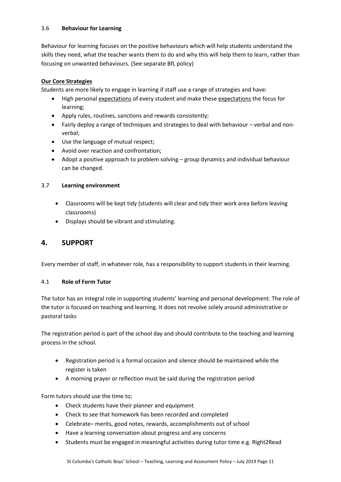#### 3.6 **Behaviour for Learning**

Behaviour for learning focuses on the positive behaviours which will help students understand the skills they need, what the teacher wants them to do and why this will help them to learn, rather than focusing on unwanted behaviours. (See separate BfL policy)

#### **Our Core Strategies**

Students are more likely to engage in learning if staff use a range of strategies and have:

- High personal expectations of every student and make these expectations the focus for learning;
- Apply rules, routines, sanctions and rewards consistently;
- Fairly deploy a range of techniques and strategies to deal with behaviour verbal and nonverbal;
- Use the language of mutual respect;
- Avoid over reaction and confrontation;
- Adopt a positive approach to problem solving group dynamics and individual behaviour can be changed.

#### 3.7 **Learning environment**

- Classrooms will be kept tidy (students will clear and tidy their work area before leaving classrooms)
- Displays should be vibrant and stimulating.

## **4. SUPPORT**

Every member of staff, in whatever role, has a responsibility to support students in their learning.

#### 4.1 **Role of Form Tutor**

The tutor has an integral role in supporting students' learning and personal development. The role of the tutor is focused on teaching and learning. It does not revolve solely around administrative or pastoral tasks

The registration period is part of the school day and should contribute to the teaching and learning process in the school.

- Registration period is a formal occasion and silence should be maintained while the register is taken
- A morning prayer or reflection must be said during the registration period

Form tutors should use the time to;

- Check students have their planner and equipment
- Check to see that homework has been recorded and completed
- Celebrate– merits, good notes, rewards, accomplishments out of school
- Have a learning conversation about progress and any concerns
- Students must be engaged in meaningful activities during tutor time e.g. Right2Read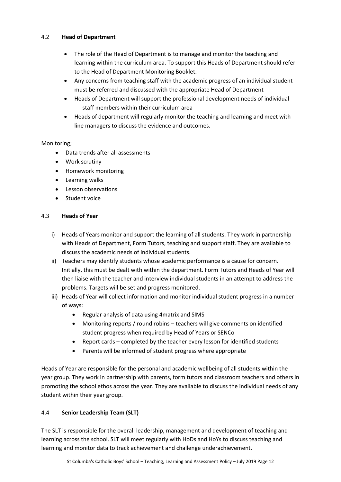#### 4.2 **Head of Department**

- The role of the Head of Department is to manage and monitor the teaching and learning within the curriculum area. To support this Heads of Department should refer to the Head of Department Monitoring Booklet.
- Any concerns from teaching staff with the academic progress of an individual student must be referred and discussed with the appropriate Head of Department
- Heads of Department will support the professional development needs of individual staff members within their curriculum area
- Heads of department will regularly monitor the teaching and learning and meet with line managers to discuss the evidence and outcomes.

#### Monitoring;

- Data trends after all assessments
- Work scrutiny
- Homework monitoring
- **•** Learning walks
- **•** Lesson observations
- **Student voice**

#### 4.3 **Heads of Year**

- i) Heads of Years monitor and support the learning of all students. They work in partnership with Heads of Department, Form Tutors, teaching and support staff. They are available to discuss the academic needs of individual students.
- ii) Teachers may identify students whose academic performance is a cause for concern. Initially, this must be dealt with within the department. Form Tutors and Heads of Year will then liaise with the teacher and interview individual students in an attempt to address the problems. Targets will be set and progress monitored.
- iii) Heads of Year will collect information and monitor individual student progress in a number of ways:
	- Regular analysis of data using 4matrix and SIMS
	- Monitoring reports / round robins teachers will give comments on identified student progress when required by Head of Years or SENCo
	- Report cards completed by the teacher every lesson for identified students
	- Parents will be informed of student progress where appropriate

Heads of Year are responsible for the personal and academic wellbeing of all students within the year group. They work in partnership with parents, form tutors and classroom teachers and others in promoting the school ethos across the year. They are available to discuss the individual needs of any student within their year group.

#### 4.4 **Senior Leadership Team (SLT)**

The SLT is responsible for the overall leadership, management and development of teaching and learning across the school. SLT will meet regularly with HoDs and HoYs to discuss teaching and learning and monitor data to track achievement and challenge underachievement.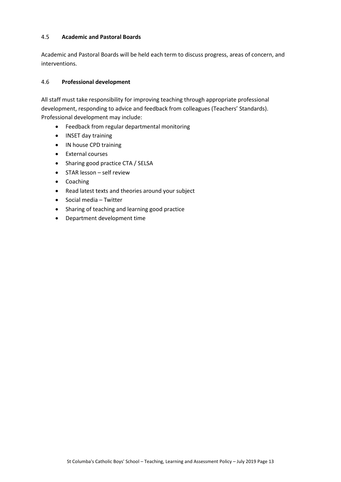#### 4.5 **Academic and Pastoral Boards**

Academic and Pastoral Boards will be held each term to discuss progress, areas of concern, and interventions.

#### 4.6 **Professional development**

All staff must take responsibility for improving teaching through appropriate professional development, responding to advice and feedback from colleagues (Teachers' Standards). Professional development may include:

- Feedback from regular departmental monitoring
- INSET day training
- IN house CPD training
- External courses
- Sharing good practice CTA / SELSA
- STAR lesson self review
- Coaching
- Read latest texts and theories around your subject
- Social media Twitter
- Sharing of teaching and learning good practice
- Department development time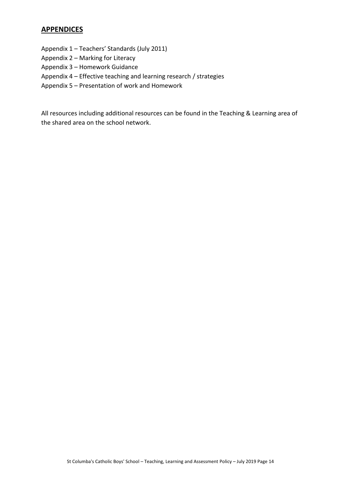# **APPENDICES**

Appendix 1 – Teachers' Standards (July 2011)

Appendix 2 – Marking for Literacy

Appendix 3 – Homework Guidance

Appendix 4 – Effective teaching and learning research / strategies

Appendix 5 – Presentation of work and Homework

All resources including additional resources can be found in the Teaching & Learning area of the shared area on the school network.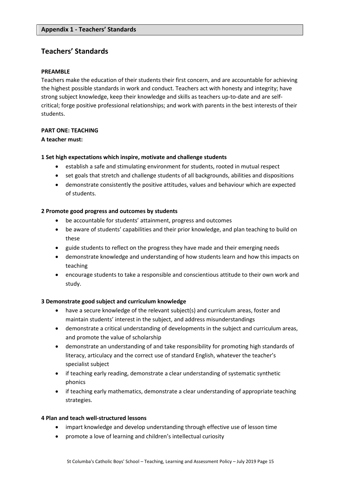# **Teachers' Standards**

#### **PREAMBLE**

Teachers make the education of their students their first concern, and are accountable for achieving the highest possible standards in work and conduct. Teachers act with honesty and integrity; have strong subject knowledge, keep their knowledge and skills as teachers up-to-date and are selfcritical; forge positive professional relationships; and work with parents in the best interests of their students.

#### **PART ONE: TEACHING**

#### **A teacher must:**

#### **1 Set high expectations which inspire, motivate and challenge students**

- establish a safe and stimulating environment for students, rooted in mutual respect
- set goals that stretch and challenge students of all backgrounds, abilities and dispositions
- demonstrate consistently the positive attitudes, values and behaviour which are expected of students.

#### **2 Promote good progress and outcomes by students**

- be accountable for students' attainment, progress and outcomes
- be aware of students' capabilities and their prior knowledge, and plan teaching to build on these
- guide students to reflect on the progress they have made and their emerging needs
- demonstrate knowledge and understanding of how students learn and how this impacts on teaching
- encourage students to take a responsible and conscientious attitude to their own work and study.

#### **3 Demonstrate good subject and curriculum knowledge**

- have a secure knowledge of the relevant subject(s) and curriculum areas, foster and maintain students' interest in the subject, and address misunderstandings
- demonstrate a critical understanding of developments in the subject and curriculum areas, and promote the value of scholarship
- demonstrate an understanding of and take responsibility for promoting high standards of literacy, articulacy and the correct use of standard English, whatever the teacher's specialist subject
- if teaching early reading, demonstrate a clear understanding of systematic synthetic phonics
- if teaching early mathematics, demonstrate a clear understanding of appropriate teaching strategies.

#### **4 Plan and teach well-structured lessons**

- impart knowledge and develop understanding through effective use of lesson time
- promote a love of learning and children's intellectual curiosity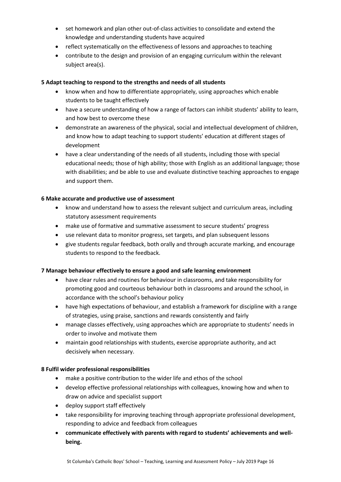- set homework and plan other out-of-class activities to consolidate and extend the knowledge and understanding students have acquired
- reflect systematically on the effectiveness of lessons and approaches to teaching
- contribute to the design and provision of an engaging curriculum within the relevant subject area(s).

#### **5 Adapt teaching to respond to the strengths and needs of all students**

- know when and how to differentiate appropriately, using approaches which enable students to be taught effectively
- have a secure understanding of how a range of factors can inhibit students' ability to learn, and how best to overcome these
- demonstrate an awareness of the physical, social and intellectual development of children, and know how to adapt teaching to support students' education at different stages of development
- have a clear understanding of the needs of all students, including those with special educational needs; those of high ability; those with English as an additional language; those with disabilities; and be able to use and evaluate distinctive teaching approaches to engage and support them.

#### **6 Make accurate and productive use of assessment**

- know and understand how to assess the relevant subject and curriculum areas, including statutory assessment requirements
- make use of formative and summative assessment to secure students' progress
- use relevant data to monitor progress, set targets, and plan subsequent lessons
- give students regular feedback, both orally and through accurate marking, and encourage students to respond to the feedback.

#### **7 Manage behaviour effectively to ensure a good and safe learning environment**

- have clear rules and routines for behaviour in classrooms, and take responsibility for promoting good and courteous behaviour both in classrooms and around the school, in accordance with the school's behaviour policy
- have high expectations of behaviour, and establish a framework for discipline with a range of strategies, using praise, sanctions and rewards consistently and fairly
- manage classes effectively, using approaches which are appropriate to students' needs in order to involve and motivate them
- maintain good relationships with students, exercise appropriate authority, and act decisively when necessary.

#### **8 Fulfil wider professional responsibilities**

- make a positive contribution to the wider life and ethos of the school
- develop effective professional relationships with colleagues, knowing how and when to draw on advice and specialist support
- deploy support staff effectively
- take responsibility for improving teaching through appropriate professional development, responding to advice and feedback from colleagues
- **communicate effectively with parents with regard to students' achievements and wellbeing.**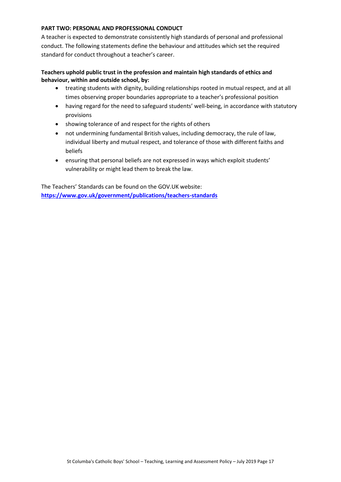#### **PART TWO: PERSONAL AND PROFESSIONAL CONDUCT**

A teacher is expected to demonstrate consistently high standards of personal and professional conduct. The following statements define the behaviour and attitudes which set the required standard for conduct throughout a teacher's career.

#### **Teachers uphold public trust in the profession and maintain high standards of ethics and behaviour, within and outside school, by:**

- treating students with dignity, building relationships rooted in mutual respect, and at all times observing proper boundaries appropriate to a teacher's professional position
- having regard for the need to safeguard students' well-being, in accordance with statutory provisions
- showing tolerance of and respect for the rights of others
- not undermining fundamental British values, including democracy, the rule of law, individual liberty and mutual respect, and tolerance of those with different faiths and beliefs
- ensuring that personal beliefs are not expressed in ways which exploit students' vulnerability or might lead them to break the law.

The Teachers' Standards can be found on the GOV.UK website: **<https://www.gov.uk/government/publications/teachers-standards>**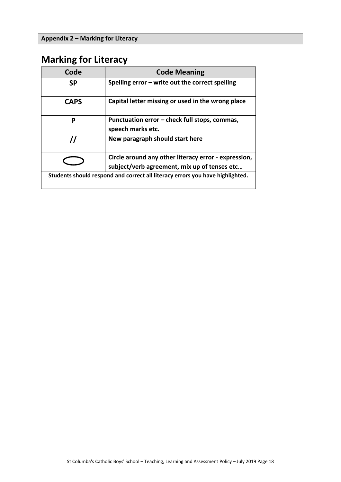# **Marking for Literacy**

| Code        | <b>Code Meaning</b>                                                                                  |
|-------------|------------------------------------------------------------------------------------------------------|
| SP          | Spelling error $-$ write out the correct spelling                                                    |
| <b>CAPS</b> | Capital letter missing or used in the wrong place                                                    |
| P           | Punctuation error – check full stops, commas,<br>speech marks etc.                                   |
|             | New paragraph should start here                                                                      |
|             | Circle around any other literacy error - expression,<br>subject/verb agreement, mix up of tenses etc |
|             | Students should respond and correct all literacy errors you have highlighted.                        |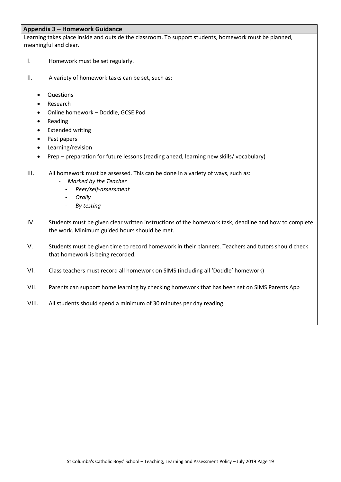#### **Appendix 3 – Homework Guidance**

Learning takes place inside and outside the classroom. To support students, homework must be planned, meaningful and clear.

- I. Homework must be set regularly.
- II. A variety of homework tasks can be set, such as:
	- Questions
	- Research
	- Online homework Doddle, GCSE Pod
	- Reading
	- Extended writing
	- Past papers
	- Learning/revision
	- Prep preparation for future lessons (reading ahead, learning new skills/ vocabulary)
- III. All homework must be assessed. This can be done in a variety of ways, such as:
	- *Marked by the Teacher* 
		- *Peer/self-assessment*
		- *Orally*
		- *By testing*
- IV. Students must be given clear written instructions of the homework task, deadline and how to complete the work. Minimum guided hours should be met.
- V. Students must be given time to record homework in their planners. Teachers and tutors should check that homework is being recorded.
- VI. Class teachers must record all homework on SIMS (including all 'Doddle' homework)

VII. Parents can support home learning by checking homework that has been set on SIMS Parents App

VIII. All students should spend a minimum of 30 minutes per day reading.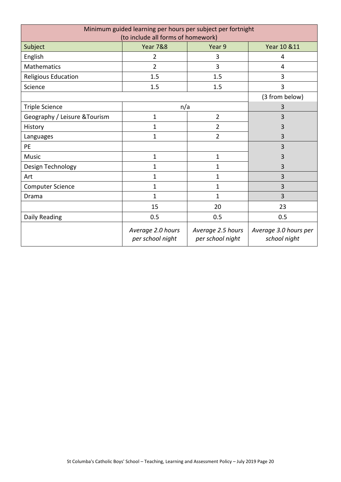| Minimum guided learning per hours per subject per fortnight<br>(to include all forms of homework) |                                       |                                       |                                       |  |  |  |
|---------------------------------------------------------------------------------------------------|---------------------------------------|---------------------------------------|---------------------------------------|--|--|--|
| Subject                                                                                           | <b>Year 7&amp;8</b>                   | Year 9                                | Year 10 & 11                          |  |  |  |
| English                                                                                           | 2                                     | 3                                     | 4                                     |  |  |  |
| <b>Mathematics</b>                                                                                | $\overline{2}$                        | 3                                     | 4                                     |  |  |  |
| Religious Education                                                                               | 1.5                                   | 1.5                                   | 3                                     |  |  |  |
| Science                                                                                           | 1.5                                   | 1.5                                   | 3                                     |  |  |  |
|                                                                                                   | (3 from below)                        |                                       |                                       |  |  |  |
| <b>Triple Science</b>                                                                             | n/a                                   | 3                                     |                                       |  |  |  |
| Geography / Leisure & Tourism                                                                     | $\mathbf 1$                           | $\overline{2}$                        | 3                                     |  |  |  |
| History                                                                                           | 1                                     | $\overline{2}$                        | 3                                     |  |  |  |
| Languages                                                                                         | $\mathbf{1}$                          | $\overline{2}$                        | 3                                     |  |  |  |
| PE                                                                                                |                                       |                                       | 3                                     |  |  |  |
| Music                                                                                             | $\mathbf{1}$                          | $\mathbf{1}$                          | 3                                     |  |  |  |
| Design Technology                                                                                 | $\mathbf{1}$                          | $\mathbf{1}$                          | 3                                     |  |  |  |
| Art                                                                                               | 1                                     | 1                                     | 3                                     |  |  |  |
| <b>Computer Science</b>                                                                           | 1                                     | 1                                     | 3                                     |  |  |  |
| Drama                                                                                             | $\mathbf{1}$                          | $\mathbf{1}$                          | 3                                     |  |  |  |
|                                                                                                   | 15                                    | 20                                    | 23                                    |  |  |  |
| Daily Reading                                                                                     | 0.5                                   | 0.5                                   | 0.5                                   |  |  |  |
|                                                                                                   | Average 2.0 hours<br>per school night | Average 2.5 hours<br>per school night | Average 3.0 hours per<br>school night |  |  |  |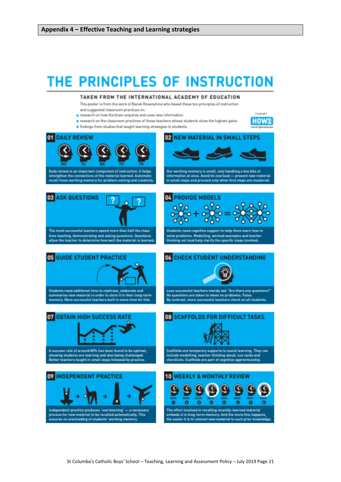# THE PRINCIPLES OF INSTRUCTION

#### TAKEN FROM THE INTERNATIONAL ACADEMY OF EDUCATION

This poster is from the work of Barak Rosenshine who based these ten principles of instruction

- and suggested classroom practices on:
- a research on how the brain acquires and uses new information
- research on the classroom practices of those teachers whose students show the highest gains
- . findings from studies that taught learning strategies to students.



Daily review is an important component of instruction. It helps strengthen the connections of the material learned. Automatic recall frees working memory for problem solving and creativity



The most successful teachers spend more than half the class time teaching, demonstrating and asking questions. Questions allow the teacher to determine how well the material is learned.





Independent practice produces 'overlearning' - a necessary<br>process for new material to be recalled automatically. This .<br>ensures no overloading of students' working memory.



**Countered** 

HOW<sup>2</sup>

Our working memory is small, only handling a few bits of<br>information at once. Avoid its overload — present new material<br>in small steps and proceed only when first steps are mastered.



Students need cognitive support to help them learn how to solve problems. Modelling, worked examples and teacher thinking out loud help clarify the specific steps involved.